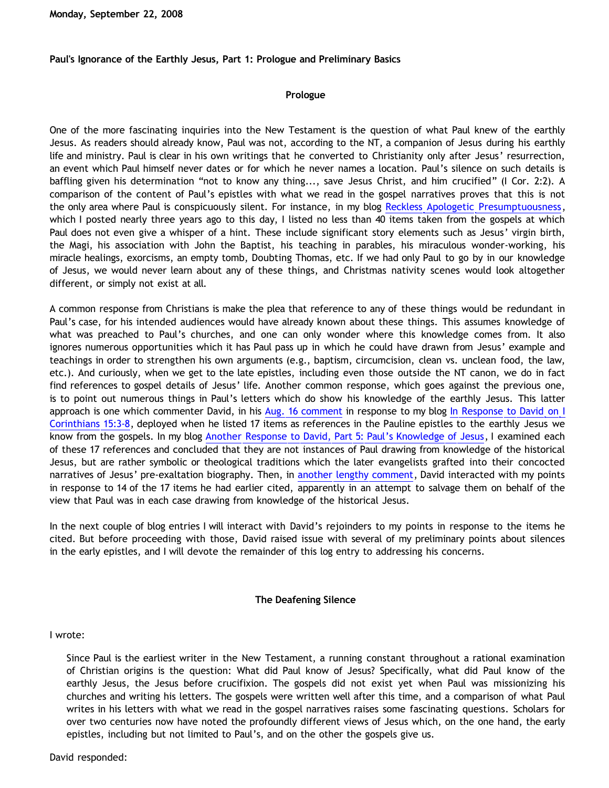**Monday, September 22, 2008**

**Paul's Ignorance of the Earthly Jesus, Part 1: Prologue and Preliminary Basics**

### **Prologue**

One of the more fascinating inquiries into the New Testament is the question of what Paul knew of the earthly Jesus. As readers should already know, Paul was not, according to the NT, a companion of Jesus during his earthly life and ministry. Paul is clear in his own writings that he converted to Christianity only after Jesus' resurrection, an event which Paul himself never dates or for which he never names a location. Paul's silence on such details is baffling given his determination "not to know any thing..., save Jesus Christ, and him crucified" (I Cor. 2:2). A comparison of the content of Paul's epistles with what we read in the gospel narratives proves that this is not the only area where Paul is conspicuously silent. For instance, in my blog [Reckless Apologetic Presumptuousness](http://bahnsenburner.blogspot.com/2005/09/reckless-apologetic-presumptuousness.html), which I posted nearly three years ago to this day, I listed no less than 40 items taken from the gospels at which Paul does not even give a whisper of a hint. These include significant story elements such as Jesus' virgin birth, the Magi, his association with John the Baptist, his teaching in parables, his miraculous wonder-working, his miracle healings, exorcisms, an empty tomb, Doubting Thomas, etc. If we had only Paul to go by in our knowledge of Jesus, we would never learn about any of these things, and Christmas nativity scenes would look altogether different, or simply not exist at all.

A common response from Christians is make the plea that reference to any of these things would be redundant in Paul's case, for his intended audiences would have already known about these things. This assumes knowledge of what was preached to Paul's churches, and one can only wonder where this knowledge comes from. It also ignores numerous opportunities which it has Paul pass up in which he could have drawn from Jesus' example and teachings in order to strengthen his own arguments (e.g., baptism, circumcision, clean vs. unclean food, the law, etc.). And curiously, when we get to the late epistles, including even those outside the NT canon, we do in fact find references to gospel details of Jesus' life. Another common response, which goes against the previous one, is to point out numerous things in Paul's letters which do show his knowledge of the earthly Jesus. This latter approach is one which commenter David, in his [Aug. 16 comment](http://bahnsenburner.blogspot.com/2008/07/in-response-to-david-on-i-corinthians.html) in response to my blog [In Response to David on I](http://bahnsenburner.blogspot.com/2008/07/in-response-to-david-on-i-corinthians.html) [Corinthians 15:3-8](http://bahnsenburner.blogspot.com/2008/07/in-response-to-david-on-i-corinthians.html), deployed when he listed 17 items as references in the Pauline epistles to the earthly Jesus we know from the gospels. In my blog [Another Response to David, Part 5: Paul's Knowledge of Jesus,](http://bahnsenburner.blogspot.com/2008/08/another-response-to-david-part-5-pauls.html) I examined each of these 17 references and concluded that they are not instances of Paul drawing from knowledge of the historical Jesus, but are rather symbolic or theological traditions which the later evangelists grafted into their concocted narratives of Jesus' pre-exaltation biography. Then, in [another lengthy comment](http://bahnsenburner.blogspot.com/2008/08/another-response-to-david-part-5-pauls.html), David interacted with my points in response to 14 of the 17 items he had earlier cited, apparently in an attempt to salvage them on behalf of the view that Paul was in each case drawing from knowledge of the historical Jesus.

In the next couple of blog entries I will interact with David's rejoinders to my points in response to the items he cited. But before proceeding with those, David raised issue with several of my preliminary points about silences in the early epistles, and I will devote the remainder of this log entry to addressing his concerns.

### **The Deafening Silence**

I wrote:

Since Paul is the earliest writer in the New Testament, a running constant throughout a rational examination of Christian origins is the question: What did Paul know of Jesus? Specifically, what did Paul know of the earthly Jesus, the Jesus before crucifixion. The gospels did not exist yet when Paul was missionizing his churches and writing his letters. The gospels were written well after this time, and a comparison of what Paul writes in his letters with what we read in the gospel narratives raises some fascinating questions. Scholars for over two centuries now have noted the profoundly different views of Jesus which, on the one hand, the early epistles, including but not limited to Paul's, and on the other the gospels give us.

David responded: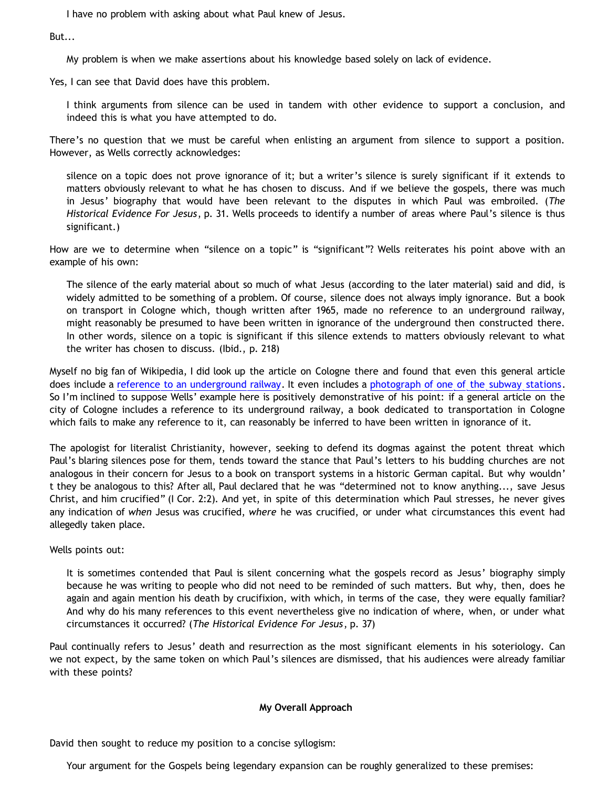I have no problem with asking about what Paul knew of Jesus.

But...

My problem is when we make assertions about his knowledge based solely on lack of evidence.

Yes, I can see that David does have this problem.

I think arguments from silence can be used in tandem with other evidence to support a conclusion, and indeed this is what you have attempted to do.

There's no question that we must be careful when enlisting an argument from silence to support a position. However, as Wells correctly acknowledges:

silence on a topic does not prove ignorance of it; but a writer's silence is surely significant if it extends to matters obviously relevant to what he has chosen to discuss. And if we believe the gospels, there was much in Jesus' biography that would have been relevant to the disputes in which Paul was embroiled. (*The Historical Evidence For Jesus*, p. 31. Wells proceeds to identify a number of areas where Paul's silence is thus significant.)

How are we to determine when "silence on a topic" is "significant"? Wells reiterates his point above with an example of his own:

The silence of the early material about so much of what Jesus (according to the later material) said and did, is widely admitted to be something of a problem. Of course, silence does not always imply ignorance. But a book on transport in Cologne which, though written after 1965, made no reference to an underground railway, might reasonably be presumed to have been written in ignorance of the underground then constructed there. In other words, silence on a topic is significant if this silence extends to matters obviously relevant to what the writer has chosen to discuss. (Ibid., p. 218)

Myself no big fan of Wikipedia, I did look up the article on Cologne there and found that even this general article does include a [reference to an underground railway](http://en.wikipedia.org/wiki/Cologne). It even includes a [photograph of one of the subway stations](http://upload.wikimedia.org/wikipedia/en/6/62/Tram_cologne.jpg). So I'm inclined to suppose Wells' example here is positively demonstrative of his point: if a general article on the city of Cologne includes a reference to its underground railway, a book dedicated to transportation in Cologne which fails to make any reference to it, can reasonably be inferred to have been written in ignorance of it.

The apologist for literalist Christianity, however, seeking to defend its dogmas against the potent threat which Paul's blaring silences pose for them, tends toward the stance that Paul's letters to his budding churches are not analogous in their concern for Jesus to a book on transport systems in a historic German capital. But why wouldn' t they be analogous to this? After all, Paul declared that he was "determined not to know anything..., save Jesus Christ, and him crucified" (I Cor. 2:2). And yet, in spite of this determination which Paul stresses, he never gives any indication of *when* Jesus was crucified, *where* he was crucified, or under what circumstances this event had allegedly taken place.

Wells points out:

It is sometimes contended that Paul is silent concerning what the gospels record as Jesus' biography simply because he was writing to people who did not need to be reminded of such matters. But why, then, does he again and again mention his death by crucifixion, with which, in terms of the case, they were equally familiar? And why do his many references to this event nevertheless give no indication of where, when, or under what circumstances it occurred? (*The Historical Evidence For Jesus*, p. 37)

Paul continually refers to Jesus' death and resurrection as the most significant elements in his soteriology. Can we not expect, by the same token on which Paul's silences are dismissed, that his audiences were already familiar with these points?

# **My Overall Approach**

David then sought to reduce my position to a concise syllogism:

Your argument for the Gospels being legendary expansion can be roughly generalized to these premises: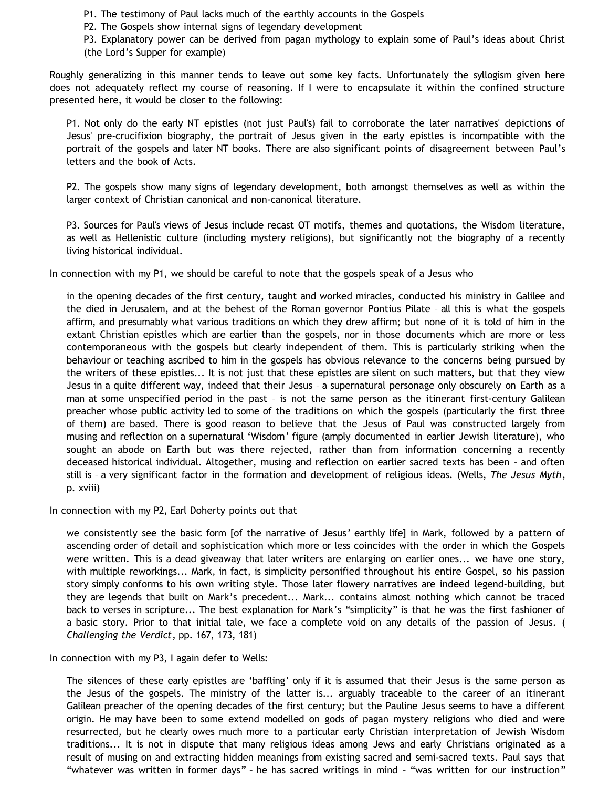P1. The testimony of Paul lacks much of the earthly accounts in the Gospels

P2. The Gospels show internal signs of legendary development

P3. Explanatory power can be derived from pagan mythology to explain some of Paul's ideas about Christ (the Lord's Supper for example)

Roughly generalizing in this manner tends to leave out some key facts. Unfortunately the syllogism given here does not adequately reflect my course of reasoning. If I were to encapsulate it within the confined structure presented here, it would be closer to the following:

P1. Not only do the early NT epistles (not just Paul's) fail to corroborate the later narratives' depictions of Jesus' pre-crucifixion biography, the portrait of Jesus given in the early epistles is incompatible with the portrait of the gospels and later NT books. There are also significant points of disagreement between Paul's letters and the book of Acts.

P2. The gospels show many signs of legendary development, both amongst themselves as well as within the larger context of Christian canonical and non-canonical literature.

P3. Sources for Paul's views of Jesus include recast OT motifs, themes and quotations, the Wisdom literature, as well as Hellenistic culture (including mystery religions), but significantly not the biography of a recently living historical individual.

In connection with my P1, we should be careful to note that the gospels speak of a Jesus who

in the opening decades of the first century, taught and worked miracles, conducted his ministry in Galilee and the died in Jerusalem, and at the behest of the Roman governor Pontius Pilate – all this is what the gospels affirm, and presumably what various traditions on which they drew affirm; but none of it is told of him in the extant Christian epistles which are earlier than the gospels, nor in those documents which are more or less contemporaneous with the gospels but clearly independent of them. This is particularly striking when the behaviour or teaching ascribed to him in the gospels has obvious relevance to the concerns being pursued by the writers of these epistles... It is not just that these epistles are silent on such matters, but that they view Jesus in a quite different way, indeed that their Jesus – a supernatural personage only obscurely on Earth as a man at some unspecified period in the past – is not the same person as the itinerant first-century Galilean preacher whose public activity led to some of the traditions on which the gospels (particularly the first three of them) are based. There is good reason to believe that the Jesus of Paul was constructed largely from musing and reflection on a supernatural 'Wisdom' figure (amply documented in earlier Jewish literature), who sought an abode on Earth but was there rejected, rather than from information concerning a recently deceased historical individual. Altogether, musing and reflection on earlier sacred texts has been – and often still is – a very significant factor in the formation and development of religious ideas. (Wells, *The Jesus Myth*, p. xviii)

In connection with my P2, Earl Doherty points out that

we consistently see the basic form [of the narrative of Jesus' earthly life] in Mark, followed by a pattern of ascending order of detail and sophistication which more or less coincides with the order in which the Gospels were written. This is a dead giveaway that later writers are enlarging on earlier ones... we have one story, with multiple reworkings... Mark, in fact, is simplicity personified throughout his entire Gospel, so his passion story simply conforms to his own writing style. Those later flowery narratives are indeed legend-building, but they are legends that built on Mark's precedent... Mark... contains almost nothing which cannot be traced back to verses in scripture... The best explanation for Mark's "simplicity" is that he was the first fashioner of a basic story. Prior to that initial tale, we face a complete void on any details of the passion of Jesus. ( *Challenging the Verdict*, pp. 167, 173, 181)

In connection with my P3, I again defer to Wells:

The silences of these early epistles are 'baffling' only if it is assumed that their Jesus is the same person as the Jesus of the gospels. The ministry of the latter is... arguably traceable to the career of an itinerant Galilean preacher of the opening decades of the first century; but the Pauline Jesus seems to have a different origin. He may have been to some extend modelled on gods of pagan mystery religions who died and were resurrected, but he clearly owes much more to a particular early Christian interpretation of Jewish Wisdom traditions... It is not in dispute that many religious ideas among Jews and early Christians originated as a result of musing on and extracting hidden meanings from existing sacred and semi-sacred texts. Paul says that "whatever was written in former days" – he has sacred writings in mind – "was written for our instruction"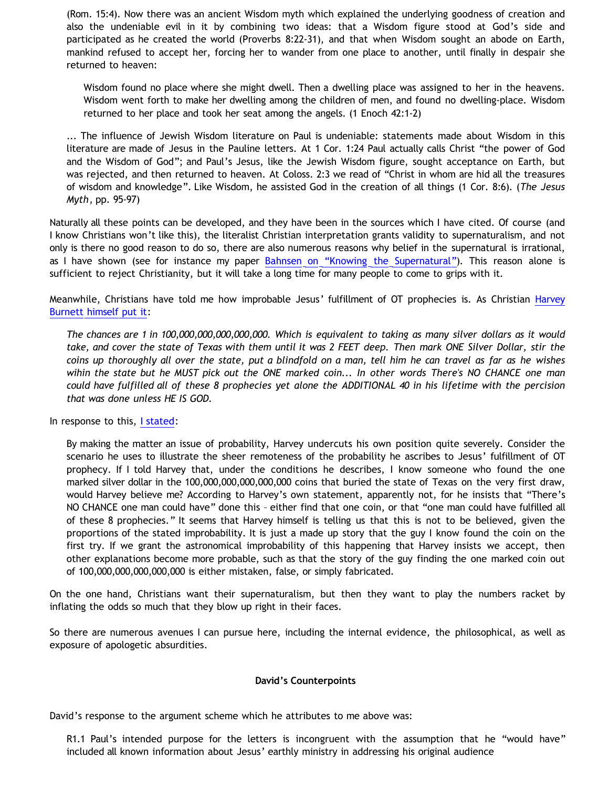(Rom. 15:4). Now there was an ancient Wisdom myth which explained the underlying goodness of creation and also the undeniable evil in it by combining two ideas: that a Wisdom figure stood at God's side and participated as he created the world (Proverbs 8:22-31), and that when Wisdom sought an abode on Earth, mankind refused to accept her, forcing her to wander from one place to another, until finally in despair she returned to heaven:

Wisdom found no place where she might dwell. Then a dwelling place was assigned to her in the heavens. Wisdom went forth to make her dwelling among the children of men, and found no dwelling-place. Wisdom returned to her place and took her seat among the angels. (1 Enoch 42:1-2)

... The influence of Jewish Wisdom literature on Paul is undeniable: statements made about Wisdom in this literature are made of Jesus in the Pauline letters. At 1 Cor. 1:24 Paul actually calls Christ "the power of God and the Wisdom of God"; and Paul's Jesus, like the Jewish Wisdom figure, sought acceptance on Earth, but was rejected, and then returned to heaven. At Coloss. 2:3 we read of "Christ in whom are hid all the treasures of wisdom and knowledge". Like Wisdom, he assisted God in the creation of all things (1 Cor. 8:6). (*The Jesus Myth*, pp. 95-97)

Naturally all these points can be developed, and they have been in the sources which I have cited. Of course (and I know Christians won't like this), the literalist Christian interpretation grants validity to supernaturalism, and not only is there no good reason to do so, there are also numerous reasons why belief in the supernatural is irrational, as I have shown (see for instance my paper [Bahnsen on](http://www.geocities.com/katholon/Bahnsen_Supernatural.htm) ["Knowing the Supernatural"](http://www.geocities.com/katholon/Bahnsen_Supernatural.htm)). This reason alone is sufficient to reject Christianity, but it will take a long time for many people to come to grips with it.

Meanwhile, Christians have told me how improbable Jesus' fulfillment of OT prophecies is. As Christian [Harvey](http://debunkingchristianity.blogspot.com/2008/02/where-is-800-pound-gorilla_25.html?showComment=1205542980000) [Burnett himself put it](http://debunkingchristianity.blogspot.com/2008/02/where-is-800-pound-gorilla_25.html?showComment=1205542980000):

*The chances are 1 in 100,000,000,000,000,000. Which is equivalent to taking as many silver dollars as it would take, and cover the state of Texas with them until it was 2 FEET deep. Then mark ONE Silver Dollar, stir the coins up thoroughly all over the state, put a blindfold on a man, tell him he can travel as far as he wishes wihin the state but he MUST pick out the ONE marked coin... In other words There's NO CHANCE one man could have fulfilled all of these 8 prophecies yet alone the ADDITIONAL 40 in his lifetime with the percision that was done unless HE IS GOD.*

In response to this, [I stated](http://www.geocities.com/katholon/Early_Non-Christian_Testimony.htm):

By making the matter an issue of probability, Harvey undercuts his own position quite severely. Consider the scenario he uses to illustrate the sheer remoteness of the probability he ascribes to Jesus' fulfillment of OT prophecy. If I told Harvey that, under the conditions he describes, I know someone who found the one marked silver dollar in the 100,000,000,000,000,000 coins that buried the state of Texas on the very first draw, would Harvey believe me? According to Harvey's own statement, apparently not, for he insists that "There's NO CHANCE one man could have" done this – either find that one coin, or that "one man could have fulfilled all of these 8 prophecies." It seems that Harvey himself is telling us that this is not to be believed, given the proportions of the stated improbability. It is just a made up story that the guy I know found the coin on the first try. If we grant the astronomical improbability of this happening that Harvey insists we accept, then other explanations become more probable, such as that the story of the guy finding the one marked coin out of 100,000,000,000,000,000 is either mistaken, false, or simply fabricated.

On the one hand, Christians want their supernaturalism, but then they want to play the numbers racket by inflating the odds so much that they blow up right in their faces.

So there are numerous avenues I can pursue here, including the internal evidence, the philosophical, as well as exposure of apologetic absurdities.

### **David's Counterpoints**

David's response to the argument scheme which he attributes to me above was:

R1.1 Paul's intended purpose for the letters is incongruent with the assumption that he "would have" included all known information about Jesus' earthly ministry in addressing his original audience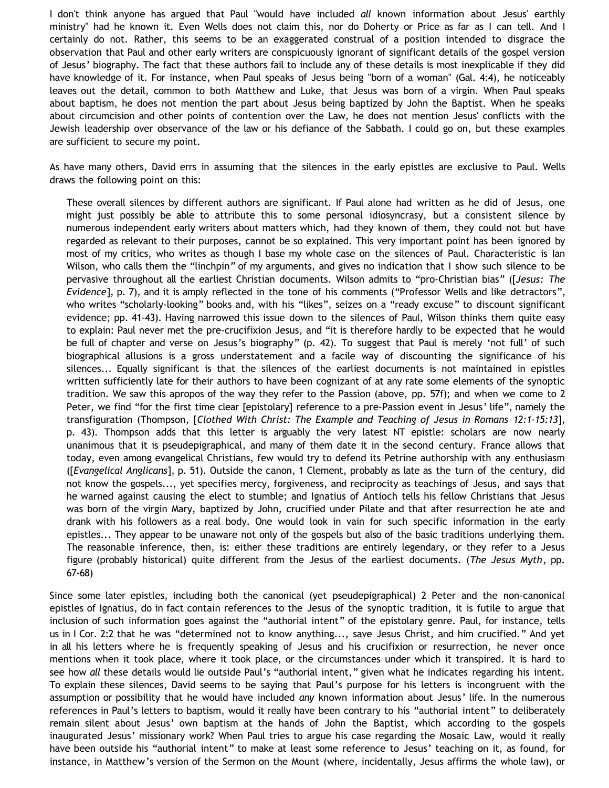I don't think anyone has argued that Paul "would have included *all* known information about Jesus' earthly ministry" had he known it. Even Wells does not claim this, nor do Doherty or Price as far as I can tell. And I certainly do not. Rather, this seems to be an exaggerated construal of a position intended to disgrace the observation that Paul and other early writers are conspicuously ignorant of significant details of the gospel version of Jesus' biography. The fact that these authors fail to include any of these details is most inexplicable if they did have knowledge of it. For instance, when Paul speaks of Jesus being "born of a woman" (Gal. 4:4), he noticeably leaves out the detail, common to both Matthew and Luke, that Jesus was born of a virgin. When Paul speaks about baptism, he does not mention the part about Jesus being baptized by John the Baptist. When he speaks about circumcision and other points of contention over the Law, he does not mention Jesus' conflicts with the Jewish leadership over observance of the law or his defiance of the Sabbath. I could go on, but these examples are sufficient to secure my point.

As have many others, David errs in assuming that the silences in the early epistles are exclusive to Paul. Wells draws the following point on this:

These overall silences by different authors are significant. If Paul alone had written as he did of Jesus, one might just possibly be able to attribute this to some personal idiosyncrasy, but a consistent silence by numerous independent early writers about matters which, had they known of them, they could not but have regarded as relevant to their purposes, cannot be so explained. This very important point has been ignored by most of my critics, who writes as though I base my whole case on the silences of Paul. Characteristic is Ian Wilson, who calls them the "linchpin" of my arguments, and gives no indication that I show such silence to be pervasive throughout all the earliest Christian documents. Wilson admits to "pro-Christian bias" ([*Jesus: The Evidence*], p. 7), and it is amply reflected in the tone of his comments ("Professor Wells and like detractors", who writes "scholarly-looking" books and, with his "likes", seizes on a "ready excuse" to discount significant evidence; pp. 41-43). Having narrowed this issue down to the silences of Paul, Wilson thinks them quite easy to explain: Paul never met the pre-crucifixion Jesus, and "it is therefore hardly to be expected that he would be full of chapter and verse on Jesus's biography" (p. 42). To suggest that Paul is merely 'not full' of such biographical allusions is a gross understatement and a facile way of discounting the significance of his silences... Equally significant is that the silences of the earliest documents is not maintained in epistles written sufficiently late for their authors to have been cognizant of at any rate some elements of the synoptic tradition. We saw this apropos of the way they refer to the Passion (above, pp. 57f); and when we come to 2 Peter, we find "for the first time clear [epistolary] reference to a pre-Passion event in Jesus' life", namely the transfiguration (Thompson, [*Clothed With Christ: The Example and Teaching of Jesus in Romans 12:1-15:13*], p. 43). Thompson adds that this letter is arguably the very latest NT epistle: scholars are now nearly unanimous that it is pseudepigraphical, and many of them date it in the second century. France allows that today, even among evangelical Christians, few would try to defend its Petrine authorship with any enthusiasm ([*Evangelical Anglicans*], p. 51). Outside the canon, 1 Clement, probably as late as the turn of the century, did not know the gospels..., yet specifies mercy, forgiveness, and reciprocity as teachings of Jesus, and says that he warned against causing the elect to stumble; and Ignatius of Antioch tells his fellow Christians that Jesus was born of the virgin Mary, baptized by John, crucified under Pilate and that after resurrection he ate and drank with his followers as a real body. One would look in vain for such specific information in the early epistles... They appear to be unaware not only of the gospels but also of the basic traditions underlying them. The reasonable inference, then, is: either these traditions are entirely legendary, or they refer to a Jesus figure (probably historical) quite different from the Jesus of the earliest documents. (*The Jesus Myth*, pp. 67-68)

Since some later epistles, including both the canonical (yet pseudepigraphical) 2 Peter and the non-canonical epistles of Ignatius, do in fact contain references to the Jesus of the synoptic tradition, it is futile to argue that inclusion of such information goes against the "authorial intent" of the epistolary genre. Paul, for instance, tells us in I Cor. 2:2 that he was "determined not to know anything..., save Jesus Christ, and him crucified." And yet in all his letters where he is frequently speaking of Jesus and his crucifixion or resurrection, he never once mentions when it took place, where it took place, or the circumstances under which it transpired. It is hard to see how *all* these details would lie outside Paul's "authorial intent," given what he indicates regarding his intent. To explain these silences, David seems to be saying that Paul's purpose for his letters is incongruent with the assumption or possibility that he would have included *any* known information about Jesus' life. In the numerous references in Paul's letters to baptism, would it really have been contrary to his "authorial intent" to deliberately remain silent about Jesus' own baptism at the hands of John the Baptist, which according to the gospels inaugurated Jesus' missionary work? When Paul tries to argue his case regarding the Mosaic Law, would it really have been outside his "authorial intent" to make at least some reference to Jesus' teaching on it, as found, for instance, in Matthew's version of the Sermon on the Mount (where, incidentally, Jesus affirms the whole law), or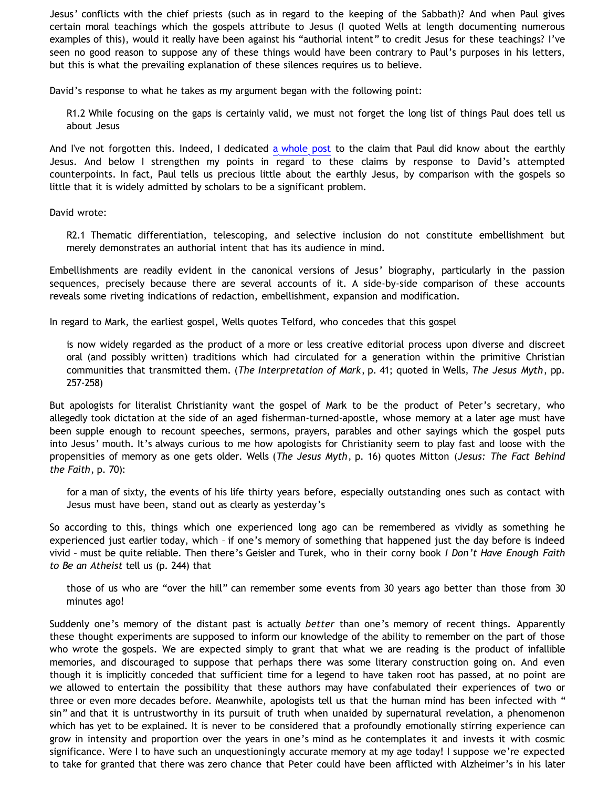Jesus' conflicts with the chief priests (such as in regard to the keeping of the Sabbath)? And when Paul gives certain moral teachings which the gospels attribute to Jesus (I quoted Wells at length documenting numerous examples of this), would it really have been against his "authorial intent" to credit Jesus for these teachings? I've seen no good reason to suppose any of these things would have been contrary to Paul's purposes in his letters, but this is what the prevailing explanation of these silences requires us to believe.

David's response to what he takes as my argument began with the following point:

R1.2 While focusing on the gaps is certainly valid, we must not forget the long list of things Paul does tell us about Jesus

And I've not forgotten this. Indeed, I dedicated [a whole post](http://bahnsenburner.blogspot.com/2008/08/another-response-to-david-part-5-pauls.html) to the claim that Paul did know about the earthly Jesus. And below I strengthen my points in regard to these claims by response to David's attempted counterpoints. In fact, Paul tells us precious little about the earthly Jesus, by comparison with the gospels so little that it is widely admitted by scholars to be a significant problem.

David wrote:

R2.1 Thematic differentiation, telescoping, and selective inclusion do not constitute embellishment but merely demonstrates an authorial intent that has its audience in mind.

Embellishments are readily evident in the canonical versions of Jesus' biography, particularly in the passion sequences, precisely because there are several accounts of it. A side-by-side comparison of these accounts reveals some riveting indications of redaction, embellishment, expansion and modification.

In regard to Mark, the earliest gospel, Wells quotes Telford, who concedes that this gospel

is now widely regarded as the product of a more or less creative editorial process upon diverse and discreet oral (and possibly written) traditions which had circulated for a generation within the primitive Christian communities that transmitted them. (*The Interpretation of Mark*, p. 41; quoted in Wells, *The Jesus Myth*, pp. 257-258)

But apologists for literalist Christianity want the gospel of Mark to be the product of Peter's secretary, who allegedly took dictation at the side of an aged fisherman-turned-apostle, whose memory at a later age must have been supple enough to recount speeches, sermons, prayers, parables and other sayings which the gospel puts into Jesus' mouth. It's always curious to me how apologists for Christianity seem to play fast and loose with the propensities of memory as one gets older. Wells (*The Jesus Myth*, p. 16) quotes Mitton (*Jesus: The Fact Behind the Faith*, p. 70):

for a man of sixty, the events of his life thirty years before, especially outstanding ones such as contact with Jesus must have been, stand out as clearly as yesterday's

So according to this, things which one experienced long ago can be remembered as vividly as something he experienced just earlier today, which – if one's memory of something that happened just the day before is indeed vivid – must be quite reliable. Then there's Geisler and Turek, who in their corny book *I Don't Have Enough Faith to Be an Atheist* tell us (p. 244) that

those of us who are "over the hill" can remember some events from 30 years ago better than those from 30 minutes ago!

Suddenly one's memory of the distant past is actually *better* than one's memory of recent things. Apparently these thought experiments are supposed to inform our knowledge of the ability to remember on the part of those who wrote the gospels. We are expected simply to grant that what we are reading is the product of infallible memories, and discouraged to suppose that perhaps there was some literary construction going on. And even though it is implicitly conceded that sufficient time for a legend to have taken root has passed, at no point are we allowed to entertain the possibility that these authors may have confabulated their experiences of two or three or even more decades before. Meanwhile, apologists tell us that the human mind has been infected with " sin" and that it is untrustworthy in its pursuit of truth when unaided by supernatural revelation, a phenomenon which has yet to be explained. It is never to be considered that a profoundly emotionally stirring experience can grow in intensity and proportion over the years in one's mind as he contemplates it and invests it with cosmic significance. Were I to have such an unquestioningly accurate memory at my age today! I suppose we're expected to take for granted that there was zero chance that Peter could have been afflicted with Alzheimer's in his later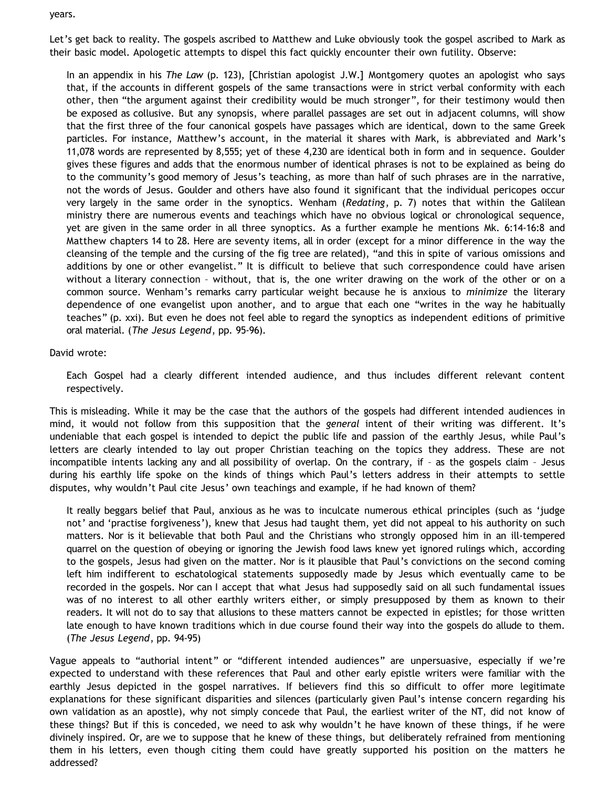years.

Let's get back to reality. The gospels ascribed to Matthew and Luke obviously took the gospel ascribed to Mark as their basic model. Apologetic attempts to dispel this fact quickly encounter their own futility. Observe:

In an appendix in his *The Law* (p. 123), [Christian apologist J.W.] Montgomery quotes an apologist who says that, if the accounts in different gospels of the same transactions were in strict verbal conformity with each other, then "the argument against their credibility would be much stronger", for their testimony would then be exposed as collusive. But any synopsis, where parallel passages are set out in adjacent columns, will show that the first three of the four canonical gospels have passages which are identical, down to the same Greek particles. For instance, Matthew's account, in the material it shares with Mark, is abbreviated and Mark's 11,078 words are represented by 8,555; yet of these 4,230 are identical both in form and in sequence. Goulder gives these figures and adds that the enormous number of identical phrases is not to be explained as being do to the community's good memory of Jesus's teaching, as more than half of such phrases are in the narrative, not the words of Jesus. Goulder and others have also found it significant that the individual pericopes occur very largely in the same order in the synoptics. Wenham (*Redating*, p. 7) notes that within the Galilean ministry there are numerous events and teachings which have no obvious logical or chronological sequence, yet are given in the same order in all three synoptics. As a further example he mentions Mk. 6:14-16:8 and Matthew chapters 14 to 28. Here are seventy items, all in order (except for a minor difference in the way the cleansing of the temple and the cursing of the fig tree are related), "and this in spite of various omissions and additions by one or other evangelist." It is difficult to believe that such correspondence could have arisen without a literary connection – without, that is, the one writer drawing on the work of the other or on a common source. Wenham's remarks carry particular weight because he is anxious to *minimize* the literary dependence of one evangelist upon another, and to argue that each one "writes in the way he habitually teaches" (p. xxi). But even he does not feel able to regard the synoptics as independent editions of primitive oral material. (*The Jesus Legend*, pp. 95-96).

# David wrote:

Each Gospel had a clearly different intended audience, and thus includes different relevant content respectively.

This is misleading. While it may be the case that the authors of the gospels had different intended audiences in mind, it would not follow from this supposition that the *general* intent of their writing was different. It's undeniable that each gospel is intended to depict the public life and passion of the earthly Jesus, while Paul's letters are clearly intended to lay out proper Christian teaching on the topics they address. These are not incompatible intents lacking any and all possibility of overlap. On the contrary, if – as the gospels claim – Jesus during his earthly life spoke on the kinds of things which Paul's letters address in their attempts to settle disputes, why wouldn't Paul cite Jesus' own teachings and example, if he had known of them?

It really beggars belief that Paul, anxious as he was to inculcate numerous ethical principles (such as 'judge not' and 'practise forgiveness'), knew that Jesus had taught them, yet did not appeal to his authority on such matters. Nor is it believable that both Paul and the Christians who strongly opposed him in an ill-tempered quarrel on the question of obeying or ignoring the Jewish food laws knew yet ignored rulings which, according to the gospels, Jesus had given on the matter. Nor is it plausible that Paul's convictions on the second coming left him indifferent to eschatological statements supposedly made by Jesus which eventually came to be recorded in the gospels. Nor can I accept that what Jesus had supposedly said on all such fundamental issues was of no interest to all other earthly writers either, or simply presupposed by them as known to their readers. It will not do to say that allusions to these matters cannot be expected in epistles; for those written late enough to have known traditions which in due course found their way into the gospels do allude to them. (*The Jesus Legend*, pp. 94-95)

Vague appeals to "authorial intent" or "different intended audiences" are unpersuasive, especially if we're expected to understand with these references that Paul and other early epistle writers were familiar with the earthly Jesus depicted in the gospel narratives. If believers find this so difficult to offer more legitimate explanations for these significant disparities and silences (particularly given Paul's intense concern regarding his own validation as an apostle), why not simply concede that Paul, the earliest writer of the NT, did not know of these things? But if this is conceded, we need to ask why wouldn't he have known of these things, if he were divinely inspired. Or, are we to suppose that he knew of these things, but deliberately refrained from mentioning them in his letters, even though citing them could have greatly supported his position on the matters he addressed?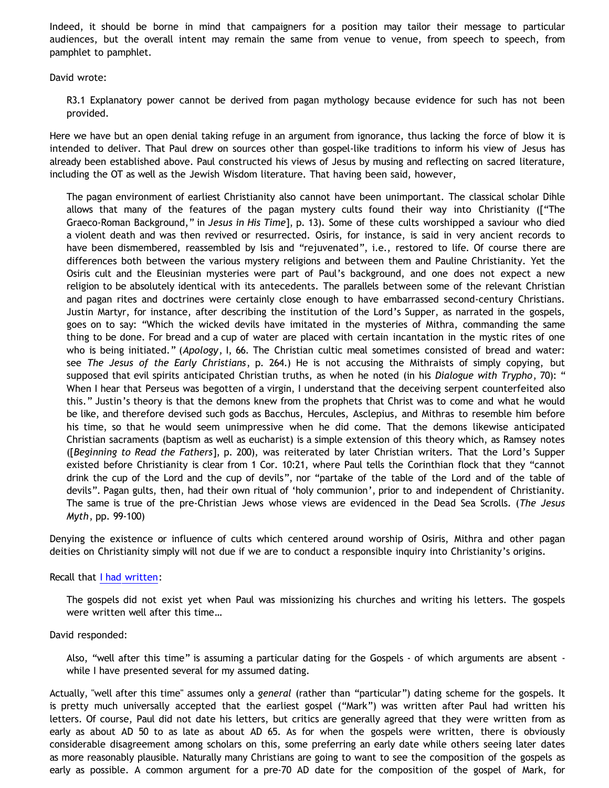Indeed, it should be borne in mind that campaigners for a position may tailor their message to particular audiences, but the overall intent may remain the same from venue to venue, from speech to speech, from pamphlet to pamphlet.

David wrote:

R3.1 Explanatory power cannot be derived from pagan mythology because evidence for such has not been provided.

Here we have but an open denial taking refuge in an argument from ignorance, thus lacking the force of blow it is intended to deliver. That Paul drew on sources other than gospel-like traditions to inform his view of Jesus has already been established above. Paul constructed his views of Jesus by musing and reflecting on sacred literature, including the OT as well as the Jewish Wisdom literature. That having been said, however,

The pagan environment of earliest Christianity also cannot have been unimportant. The classical scholar Dihle allows that many of the features of the pagan mystery cults found their way into Christianity (["The Graeco-Roman Background," in *Jesus in His Time*], p. 13). Some of these cults worshipped a saviour who died a violent death and was then revived or resurrected. Osiris, for instance, is said in very ancient records to have been dismembered, reassembled by Isis and "rejuvenated", i.e., restored to life. Of course there are differences both between the various mystery religions and between them and Pauline Christianity. Yet the Osiris cult and the Eleusinian mysteries were part of Paul's background, and one does not expect a new religion to be absolutely identical with its antecedents. The parallels between some of the relevant Christian and pagan rites and doctrines were certainly close enough to have embarrassed second-century Christians. Justin Martyr, for instance, after describing the institution of the Lord's Supper, as narrated in the gospels, goes on to say: "Which the wicked devils have imitated in the mysteries of Mithra, commanding the same thing to be done. For bread and a cup of water are placed with certain incantation in the mystic rites of one who is being initiated." (*Apology*, I, 66. The Christian cultic meal sometimes consisted of bread and water: see *The Jesus of the Early Christians*, p. 264.) He is not accusing the Mithraists of simply copying, but supposed that evil spirits anticipated Christian truths, as when he noted (in his *Dialogue with Trypho*, 70): " When I hear that Perseus was begotten of a virgin, I understand that the deceiving serpent counterfeited also this." Justin's theory is that the demons knew from the prophets that Christ was to come and what he would be like, and therefore devised such gods as Bacchus, Hercules, Asclepius, and Mithras to resemble him before his time, so that he would seem unimpressive when he did come. That the demons likewise anticipated Christian sacraments (baptism as well as eucharist) is a simple extension of this theory which, as Ramsey notes ([*Beginning to Read the Fathers*], p. 200), was reiterated by later Christian writers. That the Lord's Supper existed before Christianity is clear from 1 Cor. 10:21, where Paul tells the Corinthian flock that they "cannot drink the cup of the Lord and the cup of devils", nor "partake of the table of the Lord and of the table of devils". Pagan gults, then, had their own ritual of 'holy communion', prior to and independent of Christianity. The same is true of the pre-Christian Jews whose views are evidenced in the Dead Sea Scrolls. (*The Jesus Myth*, pp. 99-100)

Denying the existence or influence of cults which centered around worship of Osiris, Mithra and other pagan deities on Christianity simply will not due if we are to conduct a responsible inquiry into Christianity's origins.

# Recall that [I had written:](http://bahnsenburner.blogspot.com/2008/08/another-response-to-david-part-5-pauls.html)

The gospels did not exist yet when Paul was missionizing his churches and writing his letters. The gospels were written well after this time…

# David responded:

Also, "well after this time" is assuming a particular dating for the Gospels - of which arguments are absent while I have presented several for my assumed dating.

Actually, "well after this time" assumes only a *general* (rather than "particular") dating scheme for the gospels. It is pretty much universally accepted that the earliest gospel ("Mark") was written after Paul had written his letters. Of course, Paul did not date his letters, but critics are generally agreed that they were written from as early as about AD 50 to as late as about AD 65. As for when the gospels were written, there is obviously considerable disagreement among scholars on this, some preferring an early date while others seeing later dates as more reasonably plausible. Naturally many Christians are going to want to see the composition of the gospels as early as possible. A common argument for a pre-70 AD date for the composition of the gospel of Mark, for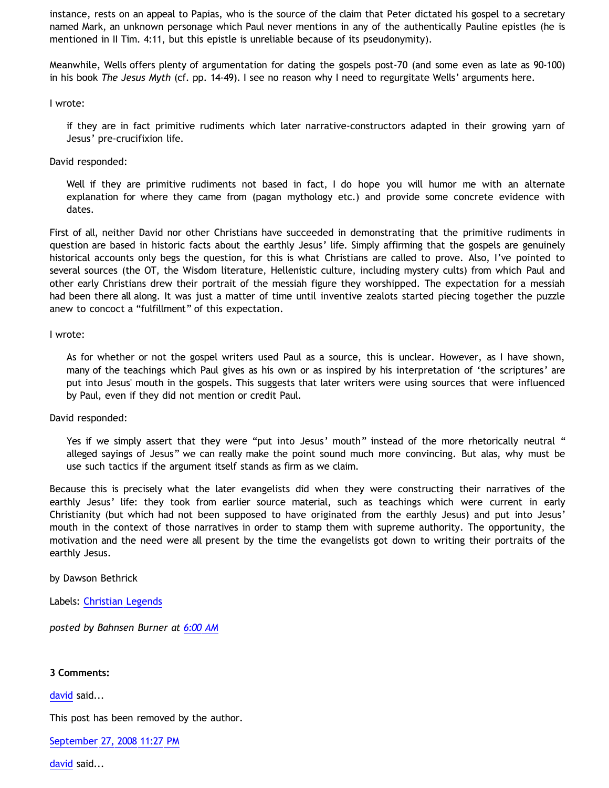instance, rests on an appeal to Papias, who is the source of the claim that Peter dictated his gospel to a secretary named Mark, an unknown personage which Paul never mentions in any of the authentically Pauline epistles (he is mentioned in II Tim. 4:11, but this epistle is unreliable because of its pseudonymity).

Meanwhile, Wells offers plenty of argumentation for dating the gospels post-70 (and some even as late as 90-100) in his book *The Jesus Myth* (cf. pp. 14-49). I see no reason why I need to regurgitate Wells' arguments here.

I wrote:

if they are in fact primitive rudiments which later narrative-constructors adapted in their growing yarn of Jesus' pre-crucifixion life.

David responded:

Well if they are primitive rudiments not based in fact, I do hope you will humor me with an alternate explanation for where they came from (pagan mythology etc.) and provide some concrete evidence with dates.

First of all, neither David nor other Christians have succeeded in demonstrating that the primitive rudiments in question are based in historic facts about the earthly Jesus' life. Simply affirming that the gospels are genuinely historical accounts only begs the question, for this is what Christians are called to prove. Also, I've pointed to several sources (the OT, the Wisdom literature, Hellenistic culture, including mystery cults) from which Paul and other early Christians drew their portrait of the messiah figure they worshipped. The expectation for a messiah had been there all along. It was just a matter of time until inventive zealots started piecing together the puzzle anew to concoct a "fulfillment" of this expectation.

I wrote:

As for whether or not the gospel writers used Paul as a source, this is unclear. However, as I have shown, many of the teachings which Paul gives as his own or as inspired by his interpretation of 'the scriptures' are put into Jesus' mouth in the gospels. This suggests that later writers were using sources that were influenced by Paul, even if they did not mention or credit Paul.

David responded:

Yes if we simply assert that they were "put into Jesus' mouth" instead of the more rhetorically neutral " alleged sayings of Jesus" we can really make the point sound much more convincing. But alas, why must be use such tactics if the argument itself stands as firm as we claim.

Because this is precisely what the later evangelists did when they were constructing their narratives of the earthly Jesus' life: they took from earlier source material, such as teachings which were current in early Christianity (but which had not been supposed to have originated from the earthly Jesus) and put into Jesus' mouth in the context of those narratives in order to stamp them with supreme authority. The opportunity, the motivation and the need were all present by the time the evangelists got down to writing their portraits of the earthly Jesus.

by Dawson Bethrick

Labels: [Christian Legends](http://bahnsenburner.blogspot.com/search/label/Christian%20Legends)

*posted by Bahnsen Burner at [6:00 AM](http://bahnsenburner.blogspot.com/2008/09/pauls-ignorance-of-earthly-jesus-part-1.html)*

### **3 Comments:**

[david](http://www.blogger.com/profile/08071763988772047093) said...

This post has been removed by the author.

[September 27, 2008 11:27 PM](http://bahnsenburner.blogspot.com/2008/09/3757019476807268600)

[david](http://www.blogger.com/profile/08071763988772047093) said...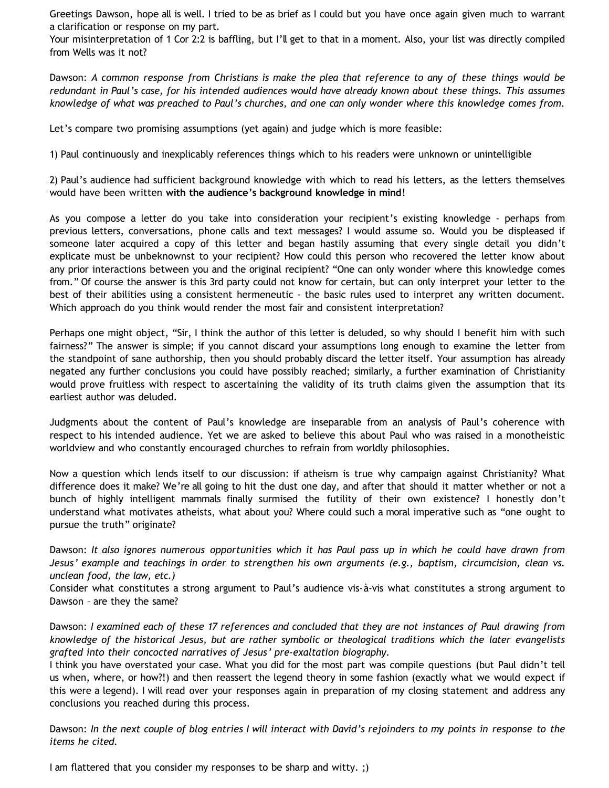Greetings Dawson, hope all is well. I tried to be as brief as I could but you have once again given much to warrant a clarification or response on my part.

Your misinterpretation of 1 Cor 2:2 is baffling, but I'll get to that in a moment. Also, your list was directly compiled from Wells was it not?

Dawson: *A common response from Christians is make the plea that reference to any of these things would be redundant in Paul's case, for his intended audiences would have already known about these things. This assumes knowledge of what was preached to Paul's churches, and one can only wonder where this knowledge comes from.*

Let's compare two promising assumptions (yet again) and judge which is more feasible:

1) Paul continuously and inexplicably references things which to his readers were unknown or unintelligible

2) Paul's audience had sufficient background knowledge with which to read his letters, as the letters themselves would have been written **with the audience's background knowledge in mind**!

As you compose a letter do you take into consideration your recipient's existing knowledge - perhaps from previous letters, conversations, phone calls and text messages? I would assume so. Would you be displeased if someone later acquired a copy of this letter and began hastily assuming that every single detail you didn't explicate must be unbeknownst to your recipient? How could this person who recovered the letter know about any prior interactions between you and the original recipient? "One can only wonder where this knowledge comes from." Of course the answer is this 3rd party could not know for certain, but can only interpret your letter to the best of their abilities using a consistent hermeneutic - the basic rules used to interpret any written document. Which approach do you think would render the most fair and consistent interpretation?

Perhaps one might object, "Sir, I think the author of this letter is deluded, so why should I benefit him with such fairness?" The answer is simple; if you cannot discard your assumptions long enough to examine the letter from the standpoint of sane authorship, then you should probably discard the letter itself. Your assumption has already negated any further conclusions you could have possibly reached; similarly, a further examination of Christianity would prove fruitless with respect to ascertaining the validity of its truth claims given the assumption that its earliest author was deluded.

Judgments about the content of Paul's knowledge are inseparable from an analysis of Paul's coherence with respect to his intended audience. Yet we are asked to believe this about Paul who was raised in a monotheistic worldview and who constantly encouraged churches to refrain from worldly philosophies.

Now a question which lends itself to our discussion: if atheism is true why campaign against Christianity? What difference does it make? We're all going to hit the dust one day, and after that should it matter whether or not a bunch of highly intelligent mammals finally surmised the futility of their own existence? I honestly don't understand what motivates atheists, what about you? Where could such a moral imperative such as "one ought to pursue the truth" originate?

Dawson: *It also ignores numerous opportunities which it has Paul pass up in which he could have drawn from Jesus' example and teachings in order to strengthen his own arguments (e.g., baptism, circumcision, clean vs. unclean food, the law, etc.)*

Consider what constitutes a strong argument to Paul's audience vis-à-vis what constitutes a strong argument to Dawson – are they the same?

Dawson: *I examined each of these 17 references and concluded that they are not instances of Paul drawing from knowledge of the historical Jesus, but are rather symbolic or theological traditions which the later evangelists grafted into their concocted narratives of Jesus' pre-exaltation biography.*

I think you have overstated your case. What you did for the most part was compile questions (but Paul didn't tell us when, where, or how?!) and then reassert the legend theory in some fashion (exactly what we would expect if this were a legend). I will read over your responses again in preparation of my closing statement and address any conclusions you reached during this process.

Dawson: *In the next couple of blog entries I will interact with David's rejoinders to my points in response to the items he cited.*

I am flattered that you consider my responses to be sharp and witty. ;)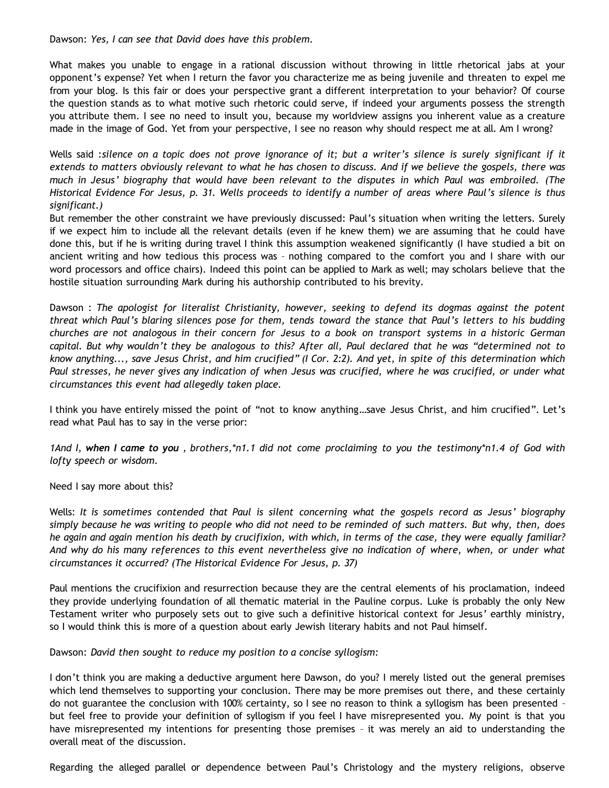Dawson: *Yes, I can see that David does have this problem.*

What makes you unable to engage in a rational discussion without throwing in little rhetorical jabs at your opponent's expense? Yet when I return the favor you characterize me as being juvenile and threaten to expel me from your blog. Is this fair or does your perspective grant a different interpretation to your behavior? Of course the question stands as to what motive such rhetoric could serve, if indeed your arguments possess the strength you attribute them. I see no need to insult you, because my worldview assigns you inherent value as a creature made in the image of God. Yet from your perspective, I see no reason why should respect me at all. Am I wrong?

Wells said :*silence on a topic does not prove ignorance of it; but a writer's silence is surely significant if it extends to matters obviously relevant to what he has chosen to discuss. And if we believe the gospels, there was much in Jesus' biography that would have been relevant to the disputes in which Paul was embroiled. (The Historical Evidence For Jesus, p. 31. Wells proceeds to identify a number of areas where Paul's silence is thus significant.)*

But remember the other constraint we have previously discussed: Paul's situation when writing the letters. Surely if we expect him to include all the relevant details (even if he knew them) we are assuming that he could have done this, but if he is writing during travel I think this assumption weakened significantly (I have studied a bit on ancient writing and how tedious this process was – nothing compared to the comfort you and I share with our word processors and office chairs). Indeed this point can be applied to Mark as well; may scholars believe that the hostile situation surrounding Mark during his authorship contributed to his brevity.

Dawson : *The apologist for literalist Christianity, however, seeking to defend its dogmas against the potent threat which Paul's blaring silences pose for them, tends toward the stance that Paul's letters to his budding churches are not analogous in their concern for Jesus to a book on transport systems in a historic German capital. But why wouldn't they be analogous to this? After all, Paul declared that he was "determined not to know anything..., save Jesus Christ, and him crucified" (I Cor. 2:2). And yet, in spite of this determination which Paul stresses, he never gives any indication of when Jesus was crucified, where he was crucified, or under what circumstances this event had allegedly taken place.*

I think you have entirely missed the point of "not to know anything…save Jesus Christ, and him crucified". Let's read what Paul has to say in the verse prior:

*1And I, when I came to you , brothers,\*n1.1 did not come proclaiming to you the testimony\*n1.4 of God with lofty speech or wisdom.*

Need I say more about this?

Wells: *It is sometimes contended that Paul is silent concerning what the gospels record as Jesus' biography simply because he was writing to people who did not need to be reminded of such matters. But why, then, does he again and again mention his death by crucifixion, with which, in terms of the case, they were equally familiar? And why do his many references to this event nevertheless give no indication of where, when, or under what circumstances it occurred? (The Historical Evidence For Jesus, p. 37)*

Paul mentions the crucifixion and resurrection because they are the central elements of his proclamation, indeed they provide underlying foundation of all thematic material in the Pauline corpus. Luke is probably the only New Testament writer who purposely sets out to give such a definitive historical context for Jesus' earthly ministry, so I would think this is more of a question about early Jewish literary habits and not Paul himself.

Dawson: *David then sought to reduce my position to a concise syllogism:*

I don't think you are making a deductive argument here Dawson, do you? I merely listed out the general premises which lend themselves to supporting your conclusion. There may be more premises out there, and these certainly do not guarantee the conclusion with 100% certainty, so I see no reason to think a syllogism has been presented – but feel free to provide your definition of syllogism if you feel I have misrepresented you. My point is that you have misrepresented my intentions for presenting those premises – it was merely an aid to understanding the overall meat of the discussion.

Regarding the alleged parallel or dependence between Paul's Christology and the mystery religions, observe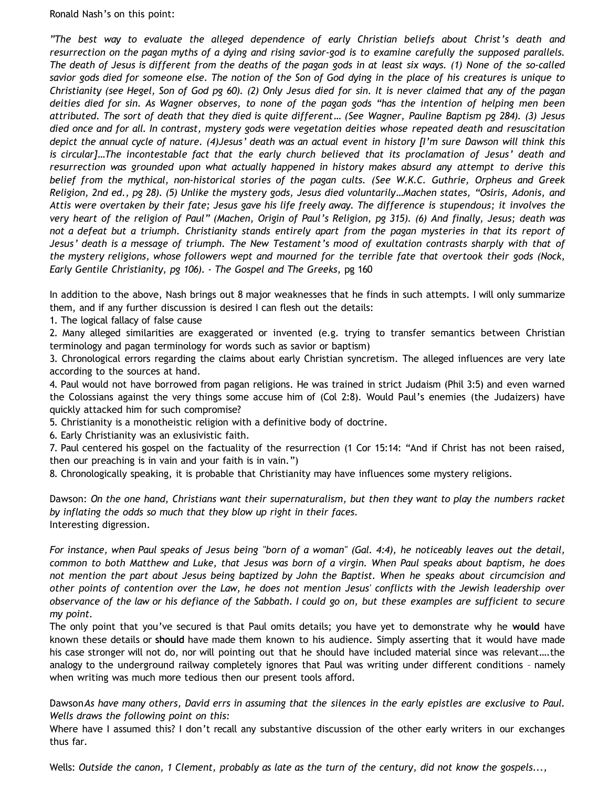Ronald Nash's on this point:

*"The best way to evaluate the alleged dependence of early Christian beliefs about Christ's death and resurrection on the pagan myths of a dying and rising savior-god is to examine carefully the supposed parallels. The death of Jesus is different from the deaths of the pagan gods in at least six ways. (1) None of the so-called savior gods died for someone else. The notion of the Son of God dying in the place of his creatures is unique to Christianity (see Hegel, Son of God pg 60). (2) Only Jesus died for sin. It is never claimed that any of the pagan deities died for sin. As Wagner observes, to none of the pagan gods "has the intention of helping men been attributed. The sort of death that they died is quite different… (See Wagner, Pauline Baptism pg 284). (3) Jesus died once and for all. In contrast, mystery gods were vegetation deities whose repeated death and resuscitation depict the annual cycle of nature. (4)Jesus' death was an actual event in history [I'm sure Dawson will think this is circular]…The incontestable fact that the early church believed that its proclamation of Jesus' death and resurrection was grounded upon what actually happened in history makes absurd any attempt to derive this belief from the mythical, non-historical stories of the pagan cults. (See W.K.C. Guthrie, Orpheus and Greek Religion, 2nd ed., pg 28). (5) Unlike the mystery gods, Jesus died voluntarily…Machen states, "Osiris, Adonis, and Attis were overtaken by their fate; Jesus gave his life freely away. The difference is stupendous; it involves the very heart of the religion of Paul" (Machen, Origin of Paul's Religion, pg 315). (6) And finally, Jesus; death was not a defeat but a triumph. Christianity stands entirely apart from the pagan mysteries in that its report of Jesus' death is a message of triumph. The New Testament's mood of exultation contrasts sharply with that of the mystery religions, whose followers wept and mourned for the terrible fate that overtook their gods (Nock, Early Gentile Christianity, pg 106). - The Gospel and The Greeks,* pg 160

In addition to the above, Nash brings out 8 major weaknesses that he finds in such attempts. I will only summarize them, and if any further discussion is desired I can flesh out the details:

1. The logical fallacy of false cause

2. Many alleged similarities are exaggerated or invented (e.g. trying to transfer semantics between Christian terminology and pagan terminology for words such as savior or baptism)

3. Chronological errors regarding the claims about early Christian syncretism. The alleged influences are very late according to the sources at hand.

4. Paul would not have borrowed from pagan religions. He was trained in strict Judaism (Phil 3:5) and even warned the Colossians against the very things some accuse him of (Col 2:8). Would Paul's enemies (the Judaizers) have quickly attacked him for such compromise?

5. Christianity is a monotheistic religion with a definitive body of doctrine.

6. Early Christianity was an exlusivistic faith.

7. Paul centered his gospel on the factuality of the resurrection (1 Cor 15:14: "And if Christ has not been raised, then our preaching is in vain and your faith is in vain.")

8. Chronologically speaking, it is probable that Christianity may have influences some mystery religions.

Dawson: *On the one hand, Christians want their supernaturalism, but then they want to play the numbers racket by inflating the odds so much that they blow up right in their faces.* Interesting digression.

*For instance, when Paul speaks of Jesus being "born of a woman" (Gal. 4:4), he noticeably leaves out the detail, common to both Matthew and Luke, that Jesus was born of a virgin. When Paul speaks about baptism, he does not mention the part about Jesus being baptized by John the Baptist. When he speaks about circumcision and other points of contention over the Law, he does not mention Jesus' conflicts with the Jewish leadership over observance of the law or his defiance of the Sabbath. I could go on, but these examples are sufficient to secure my point.*

The only point that you've secured is that Paul omits details; you have yet to demonstrate why he **would** have known these details or **should** have made them known to his audience. Simply asserting that it would have made his case stronger will not do, nor will pointing out that he should have included material since was relevant….the analogy to the underground railway completely ignores that Paul was writing under different conditions – namely when writing was much more tedious then our present tools afford.

Dawson*As have many others, David errs in assuming that the silences in the early epistles are exclusive to Paul. Wells draws the following point on this:*

Where have I assumed this? I don't recall any substantive discussion of the other early writers in our exchanges thus far.

Wells: *Outside the canon, 1 Clement, probably as late as the turn of the century, did not know the gospels...,*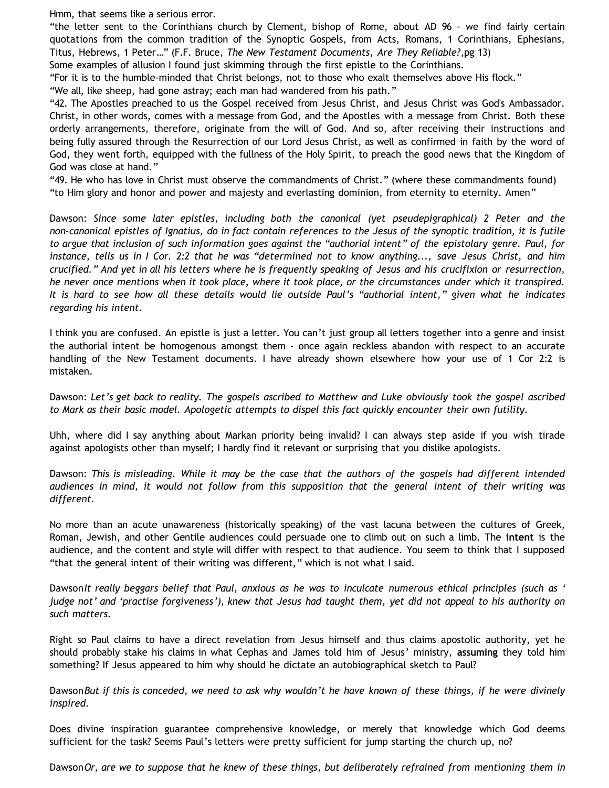Hmm, that seems like a serious error.

"the letter sent to the Corinthians church by Clement, bishop of Rome, about AD 96 - we find fairly certain quotations from the common tradition of the Synoptic Gospels, from Acts, Romans, 1 Corinthians, Ephesians, Titus, Hebrews, 1 Peter…" (F.F. Bruce, *The New Testament Documents, Are They Reliable?*,pg 13)

Some examples of allusion I found just skimming through the first epistle to the Corinthians.

"For it is to the humble-minded that Christ belongs, not to those who exalt themselves above His flock."

"We all, like sheep, had gone astray; each man had wandered from his path."

"42. The Apostles preached to us the Gospel received from Jesus Christ, and Jesus Christ was God's Ambassador. Christ, in other words, comes with a message from God, and the Apostles with a message from Christ. Both these orderly arrangements, therefore, originate from the will of God. And so, after receiving their instructions and being fully assured through the Resurrection of our Lord Jesus Christ, as well as confirmed in faith by the word of God, they went forth, equipped with the fullness of the Holy Spirit, to preach the good news that the Kingdom of God was close at hand."

"49. He who has love in Christ must observe the commandments of Christ." (where these commandments found) "to Him glory and honor and power and majesty and everlasting dominion, from eternity to eternity. Amen"

Dawson: *Since some later epistles, including both the canonical (yet pseudepigraphical) 2 Peter and the non-canonical epistles of Ignatius, do in fact contain references to the Jesus of the synoptic tradition, it is futile to argue that inclusion of such information goes against the "authorial intent" of the epistolary genre. Paul, for instance, tells us in I Cor. 2:2 that he was "determined not to know anything..., save Jesus Christ, and him crucified." And yet in all his letters where he is frequently speaking of Jesus and his crucifixion or resurrection, he never once mentions when it took place, where it took place, or the circumstances under which it transpired. It is hard to see how all these details would lie outside Paul's "authorial intent," given what he indicates regarding his intent.*

I think you are confused. An epistle is just a letter. You can't just group all letters together into a genre and insist the authorial intent be homogenous amongst them - once again reckless abandon with respect to an accurate handling of the New Testament documents. I have already shown elsewhere how your use of 1 Cor 2:2 is mistaken.

Dawson: *Let's get back to reality. The gospels ascribed to Matthew and Luke obviously took the gospel ascribed to Mark as their basic model. Apologetic attempts to dispel this fact quickly encounter their own futility.*

Uhh, where did I say anything about Markan priority being invalid? I can always step aside if you wish tirade against apologists other than myself; I hardly find it relevant or surprising that you dislike apologists.

Dawson: *This is misleading. While it may be the case that the authors of the gospels had different intended audiences in mind, it would not follow from this supposition that the general intent of their writing was different.*

No more than an acute unawareness (historically speaking) of the vast lacuna between the cultures of Greek, Roman, Jewish, and other Gentile audiences could persuade one to climb out on such a limb. The **intent** is the audience, and the content and style will differ with respect to that audience. You seem to think that I supposed "that the general intent of their writing was different," which is not what I said.

Dawson*It really beggars belief that Paul, anxious as he was to inculcate numerous ethical principles (such as ' judge not' and 'practise forgiveness'), knew that Jesus had taught them, yet did not appeal to his authority on such matters.*

Right so Paul claims to have a direct revelation from Jesus himself and thus claims apostolic authority, yet he should probably stake his claims in what Cephas and James told him of Jesus' ministry, **assuming** they told him something? If Jesus appeared to him why should he dictate an autobiographical sketch to Paul?

Dawson*But if this is conceded, we need to ask why wouldn't he have known of these things, if he were divinely inspired.*

Does divine inspiration guarantee comprehensive knowledge, or merely that knowledge which God deems sufficient for the task? Seems Paul's letters were pretty sufficient for jump starting the church up, no?

Dawson*Or, are we to suppose that he knew of these things, but deliberately refrained from mentioning them in*